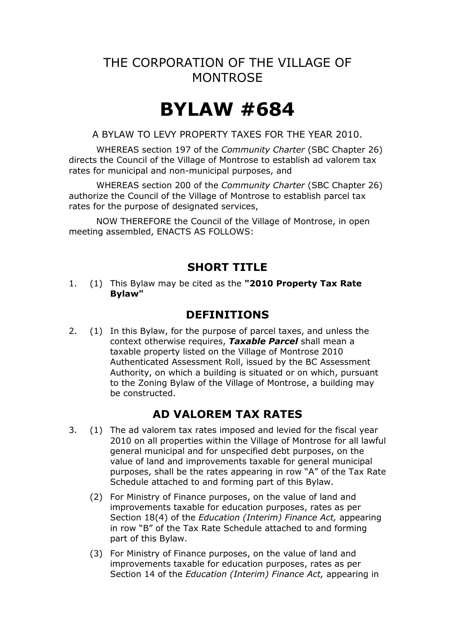## THE CORPORATION OF THE VILLAGE OF **MONTROSE**

# **BYLAW #684**

A BYLAW TO LEVY PROPERTY TAXES FOR THE YEAR 2010.

WHEREAS section 197 of the *Community Charter* (SBC Chapter 26) directs the Council of the Village of Montrose to establish ad valorem tax rates for municipal and non-municipal purposes, and

WHEREAS section 200 of the *Community Charter* (SBC Chapter 26) authorize the Council of the Village of Montrose to establish parcel tax rates for the purpose of designated services,

NOW THEREFORE the Council of the Village of Montrose, in open meeting assembled, ENACTS AS FOLLOWS:

#### **SHORT TITLE**

1. (1) This Bylaw may be cited as the **"2010 Property Tax Rate Bylaw"**

#### **DEFINITIONS**

2. (1) In this Bylaw, for the purpose of parcel taxes, and unless the context otherwise requires, *Taxable Parcel* shall mean a taxable property listed on the Village of Montrose 2010 Authenticated Assessment Roll, issued by the BC Assessment Authority, on which a building is situated or on which, pursuant to the Zoning Bylaw of the Village of Montrose, a building may be constructed.

#### **AD VALOREM TAX RATES**

- 3. (1) The ad valorem tax rates imposed and levied for the fiscal year 2010 on all properties within the Village of Montrose for all lawful general municipal and for unspecified debt purposes, on the value of land and improvements taxable for general municipal purposes, shall be the rates appearing in row "A" of the Tax Rate Schedule attached to and forming part of this Bylaw.
	- (2) For Ministry of Finance purposes, on the value of land and improvements taxable for education purposes, rates as per Section 18(4) of the *Education (Interim) Finance Act,* appearing in row "B" of the Tax Rate Schedule attached to and forming part of this Bylaw.
	- (3) For Ministry of Finance purposes, on the value of land and improvements taxable for education purposes, rates as per Section 14 of the *Education (Interim) Finance Act,* appearing in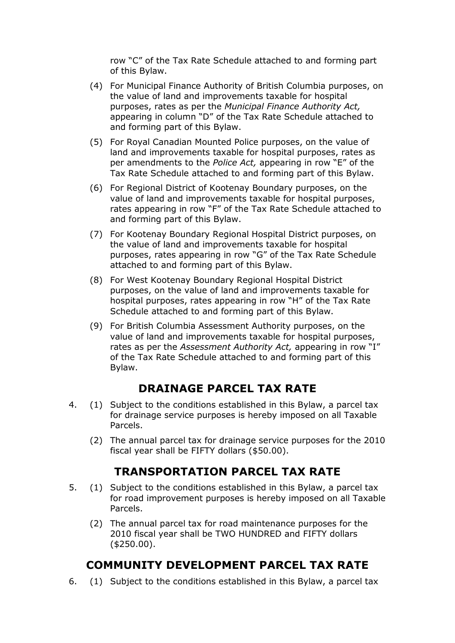row "C" of the Tax Rate Schedule attached to and forming part of this Bylaw.

- (4) For Municipal Finance Authority of British Columbia purposes, on the value of land and improvements taxable for hospital purposes, rates as per the *Municipal Finance Authority Act,* appearing in column "D" of the Tax Rate Schedule attached to and forming part of this Bylaw.
- (5) For Royal Canadian Mounted Police purposes, on the value of land and improvements taxable for hospital purposes, rates as per amendments to the *Police Act,* appearing in row "E" of the Tax Rate Schedule attached to and forming part of this Bylaw.
- (6) For Regional District of Kootenay Boundary purposes, on the value of land and improvements taxable for hospital purposes, rates appearing in row "F" of the Tax Rate Schedule attached to and forming part of this Bylaw.
- (7) For Kootenay Boundary Regional Hospital District purposes, on the value of land and improvements taxable for hospital purposes, rates appearing in row "G" of the Tax Rate Schedule attached to and forming part of this Bylaw.
- (8) For West Kootenay Boundary Regional Hospital District purposes, on the value of land and improvements taxable for hospital purposes, rates appearing in row "H" of the Tax Rate Schedule attached to and forming part of this Bylaw.
- (9) For British Columbia Assessment Authority purposes, on the value of land and improvements taxable for hospital purposes, rates as per the *Assessment Authority Act,* appearing in row "I" of the Tax Rate Schedule attached to and forming part of this Bylaw.

#### **DRAINAGE PARCEL TAX RATE**

- 4. (1) Subject to the conditions established in this Bylaw, a parcel tax for drainage service purposes is hereby imposed on all Taxable Parcels.
	- (2) The annual parcel tax for drainage service purposes for the 2010 fiscal year shall be FIFTY dollars (\$50.00).

## **TRANSPORTATION PARCEL TAX RATE**

- 5. (1) Subject to the conditions established in this Bylaw, a parcel tax for road improvement purposes is hereby imposed on all Taxable Parcels.
	- (2) The annual parcel tax for road maintenance purposes for the 2010 fiscal year shall be TWO HUNDRED and FIFTY dollars (\$250.00).

## **COMMUNITY DEVELOPMENT PARCEL TAX RATE**

6. (1) Subject to the conditions established in this Bylaw, a parcel tax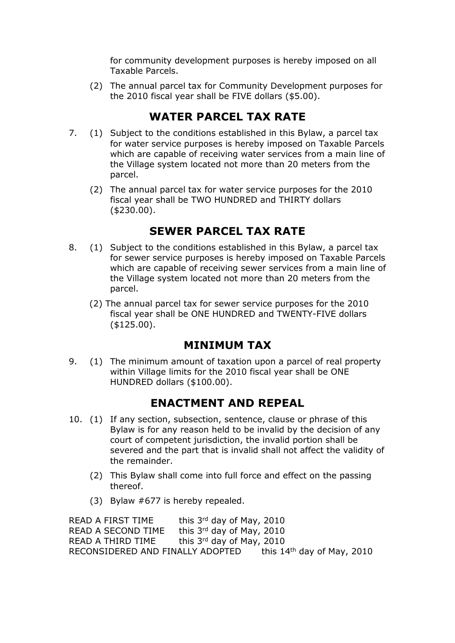for community development purposes is hereby imposed on all Taxable Parcels.

(2) The annual parcel tax for Community Development purposes for the 2010 fiscal year shall be FIVE dollars (\$5.00).

## **WATER PARCEL TAX RATE**

- 7. (1) Subject to the conditions established in this Bylaw, a parcel tax for water service purposes is hereby imposed on Taxable Parcels which are capable of receiving water services from a main line of the Village system located not more than 20 meters from the parcel.
	- (2) The annual parcel tax for water service purposes for the 2010 fiscal year shall be TWO HUNDRED and THIRTY dollars (\$230.00).

## **SEWER PARCEL TAX RATE**

- 8. (1) Subject to the conditions established in this Bylaw, a parcel tax for sewer service purposes is hereby imposed on Taxable Parcels which are capable of receiving sewer services from a main line of the Village system located not more than 20 meters from the parcel.
	- (2) The annual parcel tax for sewer service purposes for the 2010 fiscal year shall be ONE HUNDRED and TWENTY-FIVE dollars (\$125.00).

## **MINIMUM TAX**

9. (1) The minimum amount of taxation upon a parcel of real property within Village limits for the 2010 fiscal year shall be ONE HUNDRED dollars (\$100.00).

## **ENACTMENT AND REPEAL**

- 10. (1) If any section, subsection, sentence, clause or phrase of this Bylaw is for any reason held to be invalid by the decision of any court of competent jurisdiction, the invalid portion shall be severed and the part that is invalid shall not affect the validity of the remainder.
	- (2) This Bylaw shall come into full force and effect on the passing thereof.
	- (3) Bylaw #677 is hereby repealed.

READ A FIRST TIME this  $3<sup>rd</sup>$  day of May, 2010 READ A SECOND TIME this 3rd day of May, 2010 READ A THIRD TIME this  $3<sup>rd</sup>$  day of May, 2010 RECONSIDERED AND FINALLY ADOPTED this 14<sup>th</sup> day of May, 2010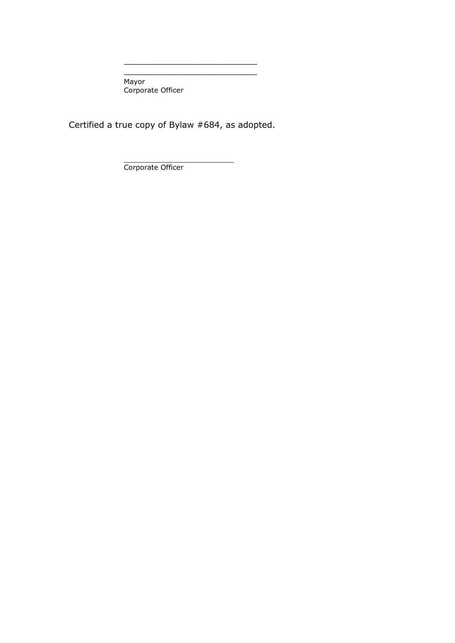Mayor Corporate Officer

Certified a true copy of Bylaw #684, as adopted.

\_\_\_\_\_\_\_\_\_\_\_\_\_\_\_\_\_\_\_\_\_\_\_\_\_ \_\_\_\_\_\_\_\_\_\_\_\_\_\_\_\_\_\_\_\_\_\_\_\_\_

\_\_\_\_\_\_\_\_\_\_\_\_\_\_\_\_\_\_\_\_\_\_\_\_\_ Corporate Officer